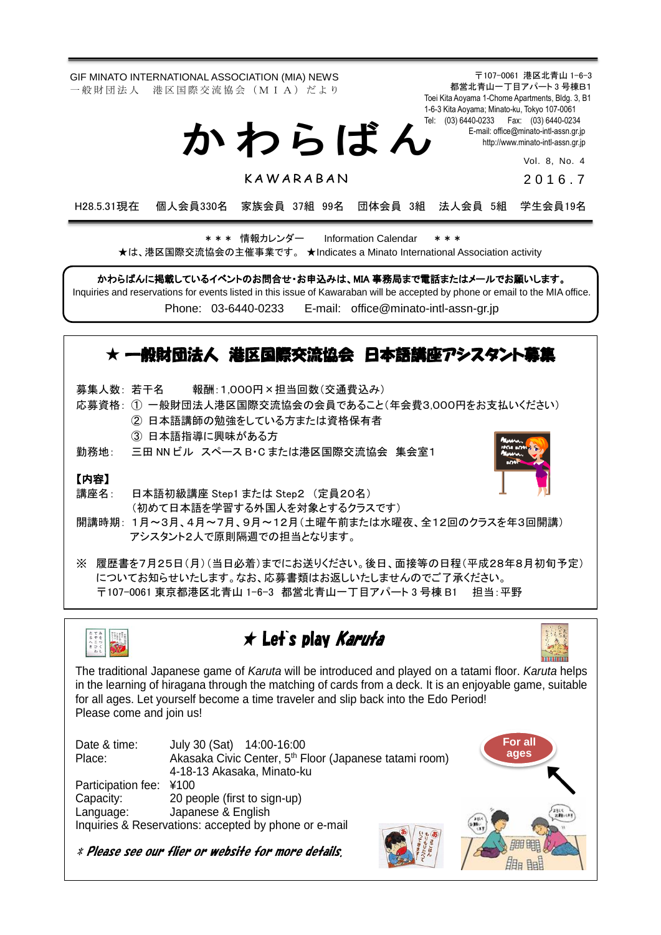GIF MINATO INTERNATIONAL ASSOCIATION (MIA) NEWS 一 般 財 団 法 人 港 区 国 際 交 流 協 会 (M I A) だ よ り

か わ ら ば ん

**KAWARABAN** 

1-6-3 Kita Aoyama; Minato-ku, Tokyo 107-0061 Tel: (03) 6440-0233 Fax: (03) 6440-0234 E-mail[: office@minato-intl-assn.gr.jp](mailto:office@minato-intl-assn.gr.jp) [http://www.minato-intl-assn.gr.jp](http://www.minato-intl-assn.gr.jp/)

〒107-0061 港区北青山 1-6-3 都営北青山一丁目アパート 3 号棟B1 Toei Kita Aoyama 1-Chome Apartments, Bldg. 3, B1

> Vol. 8, No. 4 201 6 . 7

H28.5.31現在 個人会員330名 家族会員 37組 99名 団体会員 3組 法人会員 5組 学生会員19名

\* \* \* 情報カレンダー Information Calendar \* \* \* ★は、港区国際交流協会の主催事業です。 ★Indicates a Minato International Association activity

かわらばんに掲載しているイベントのお問合せ・お申込みは、MIA 事務局まで電話またはメールでお願いします。

Inquiries and reservations for events listed in this issue of Kawaraban will be accepted by phone or email to the MIA office. Phone: [03-6440-0233](mailto:TEL:%0903-6440-0233) E-mail: [office@minato-intl-assn-gr.jp](mailto:office@minato-intl-assn-gr.jp)

## ★ 一般財団法人 港区国際交流協会 日本語講座アシスタント募集

募集人数: 若干名 報酬:1,000円×担当回数(交通費込み)

- 応募資格: ① 一般財団法人港区国際交流協会の会員であること(年会費3,000円をお支払いください) ② 日本語講師の勉強をしている方または資格保有者
	- ③ 日本語指導に興味がある方

勤務地: 三田 NN ビル スペース B・C または港区国際交流協会 集会室1

### 【内容】

講座名: 日本語初級講座 Step1 または Step2 (定員20名) (初めて日本語を学習する外国人を対象とするクラスです)

- 開講時期: 1月~3月、4月~7月、9月~12月(土曜午前または水曜夜、全12回のクラスを年3回開講) アシスタント2人で原則隔週での担当となります。
- ※ 履歴書を7月25日(月)(当日必着)までにお送りください。後日、面接等の日程(平成28年8月初旬予定) についてお知らせいたします。なお、応募書類はお返しいたしませんのでご了承ください。 〒107-0061 東京都港区北青山 1-6-3 都営北青山一丁目アパート 3 号棟 B1 担当:平野



# ★ Let`s play Karuta



The traditional Japanese game of *Karuta* will be introduced and played on a tatami floor. *Karuta* helps in the learning of hiragana through the matching of cards from a deck. It is an enjoyable game, suitable for all ages. Let yourself become a time traveler and slip back into the Edo Period! Please come and join us!

| Date & time:<br>Place: | July 30 (Sat) 14:00-16:00<br>Akasaka Civic Center, 5 <sup>th</sup> Floor (Japanese tatami room)<br>4-18-13 Akasaka, Minato-ku |     | For all<br>ages |  |
|------------------------|-------------------------------------------------------------------------------------------------------------------------------|-----|-----------------|--|
| Participation fee:     | ¥100                                                                                                                          |     |                 |  |
| Capacity:              | 20 people (first to sign-up)                                                                                                  |     |                 |  |
| Language:              | Japanese & English                                                                                                            |     |                 |  |
|                        | Inquiries & Reservations: accepted by phone or e-mail                                                                         | 当まあ |                 |  |

\* Please see our flier or website for more details.